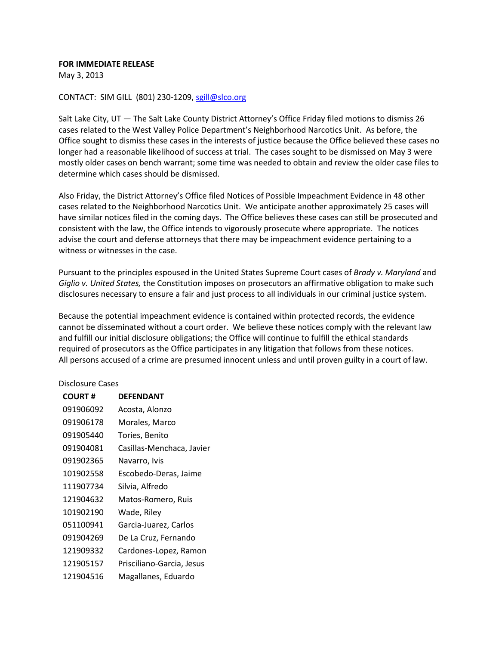#### **FOR IMMEDIATE RELEASE**

May 3, 2013

### CONTACT: SIM GILL (801) 230-1209, [sgill@slco.org](mailto:sgill@slco.org)

Salt Lake City, UT — The Salt Lake County District Attorney's Office Friday filed motions to dismiss 26 cases related to the West Valley Police Department's Neighborhood Narcotics Unit. As before, the Office sought to dismiss these cases in the interests of justice because the Office believed these cases no longer had a reasonable likelihood of success at trial. The cases sought to be dismissed on May 3 were mostly older cases on bench warrant; some time was needed to obtain and review the older case files to determine which cases should be dismissed.

Also Friday, the District Attorney's Office filed Notices of Possible Impeachment Evidence in 48 other cases related to the Neighborhood Narcotics Unit. We anticipate another approximately 25 cases will have similar notices filed in the coming days. The Office believes these cases can still be prosecuted and consistent with the law, the Office intends to vigorously prosecute where appropriate. The notices advise the court and defense attorneys that there may be impeachment evidence pertaining to a witness or witnesses in the case.

Pursuant to the principles espoused in the United States Supreme Court cases of *Brady v. Maryland* and *Giglio v. United States,* the Constitution imposes on prosecutors an affirmative obligation to make such disclosures necessary to ensure a fair and just process to all individuals in our criminal justice system.

Because the potential impeachment evidence is contained within protected records, the evidence cannot be disseminated without a court order. We believe these notices comply with the relevant law and fulfill our initial disclosure obligations; the Office will continue to fulfill the ethical standards required of prosecutors as the Office participates in any litigation that follows from these notices. All persons accused of a crime are presumed innocent unless and until proven guilty in a court of law.

#### Disclosure Cases

| <b>COURT#</b> | <b>DEFENDANT</b>          |
|---------------|---------------------------|
| 091906092     | Acosta, Alonzo            |
| 091906178     | Morales, Marco            |
| 091905440     | Tories, Benito            |
| 091904081     | Casillas-Menchaca, Javier |
| 091902365     | Navarro, Ivis             |
| 101902558     | Escobedo-Deras, Jaime     |
| 111907734     | Silvia, Alfredo           |
| 121904632     | Matos-Romero, Ruis        |
| 101902190     | Wade, Riley               |
| 051100941     | Garcia-Juarez, Carlos     |
| 091904269     | De La Cruz, Fernando      |
| 121909332     | Cardones-Lopez, Ramon     |
| 121905157     | Prisciliano-Garcia, Jesus |
| 121904516     | Magallanes, Eduardo       |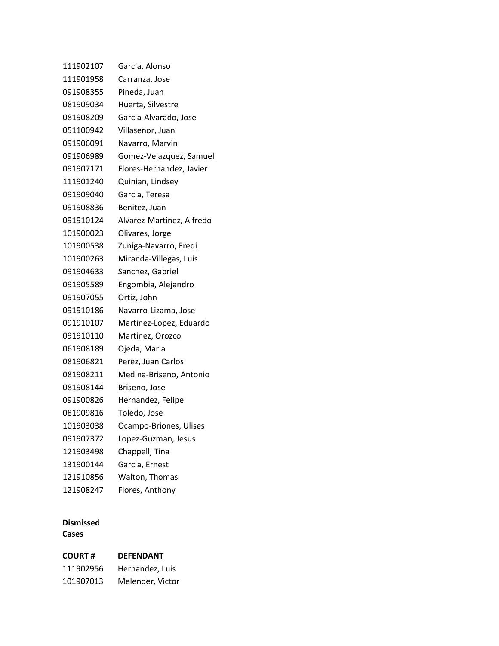| 111902107 | Garcia, Alonso            |
|-----------|---------------------------|
| 111901958 | Carranza, Jose            |
| 091908355 | Pineda, Juan              |
| 081909034 | Huerta, Silvestre         |
| 081908209 | Garcia-Alvarado, Jose     |
| 051100942 | Villasenor, Juan          |
| 091906091 | Navarro, Marvin           |
| 091906989 | Gomez-Velazquez, Samuel   |
| 091907171 | Flores-Hernandez, Javier  |
| 111901240 | Quinian, Lindsey          |
| 091909040 | Garcia, Teresa            |
| 091908836 | Benitez, Juan             |
| 091910124 | Alvarez-Martinez, Alfredo |
| 101900023 | Olivares, Jorge           |
| 101900538 | Zuniga-Navarro, Fredi     |
| 101900263 | Miranda-Villegas, Luis    |
| 091904633 | Sanchez, Gabriel          |
| 091905589 | Engombia, Alejandro       |
| 091907055 | Ortiz, John               |
| 091910186 | Navarro-Lizama, Jose      |
| 091910107 | Martinez-Lopez, Eduardo   |
| 091910110 | Martinez, Orozco          |
| 061908189 | Ojeda, Maria              |
| 081906821 | Perez, Juan Carlos        |
| 081908211 | Medina-Briseno, Antonio   |
| 081908144 | Briseno, Jose             |
| 091900826 | Hernandez, Felipe         |
| 081909816 | Toledo, Jose              |
| 101903038 | Ocampo-Briones, Ulises    |
| 091907372 | Lopez-Guzman, Jesus       |
| 121903498 | Chappell, Tina            |
| 131900144 | Garcia, Ernest            |
| 121910856 | Walton, Thomas            |
| 121908247 | Flores, Anthony           |

## **Dismissed Cases**

# **COURT # DEFENDANT** Hernandez, Luis Melender, Victor